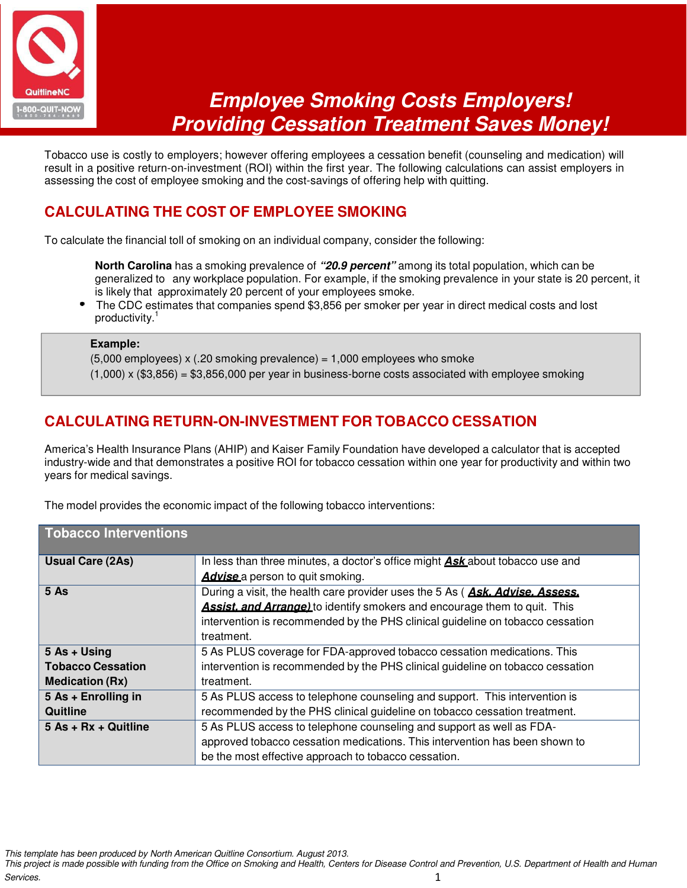

# **Employee Smoking Costs Employers! Providing Cessation Treatment Saves Money!**

Tobacco use is costly to employers; however offering employees a cessation benefit (counseling and medication) will result in a positive return-on-investment (ROI) within the first year. The following calculations can assist employers in assessing the cost of employee smoking and the cost-savings of offering help with quitting.

### **CALCULATING THE COST OF EMPLOYEE SMOKING**

To calculate the financial toll of smoking on an individual company, consider the following:

- **North Carolina** has a smoking prevalence of **"20.9 percent"** among its total population, which can be generalized to any workplace population. For example, if the smoking prevalence in your state is 20 percent, it is likely that approximately 20 percent of your employees smoke.
- The CDC estimates that companies spend \$3,856 per smoker per year in direct medical costs and lost productivity.<sup>1</sup>

#### **Example:**

 $(5,000$  employees) x  $(.20$  smoking prevalence) = 1,000 employees who smoke

 $(1,000)$  x  $(\$3,856) = \$3,856,000$  per year in business-borne costs associated with employee smoking

#### **CALCULATING RETURN-ON-INVESTMENT FOR TOBACCO CESSATION**

America's Health Insurance Plans (AHIP) and Kaiser Family Foundation have developed a calculator that is accepted industry-wide and that demonstrates a positive ROI for tobacco cessation within one year for productivity and within two years for medical savings.

| <b>Tobacco Interventions</b> |                                                                                      |
|------------------------------|--------------------------------------------------------------------------------------|
| <b>Usual Care (2As)</b>      | In less than three minutes, a doctor's office might <b>Ask</b> about tobacco use and |
|                              | <b>Advise</b> a person to quit smoking.                                              |
| 5 As                         | During a visit, the health care provider uses the 5 As (Ask. Advise. Assess.         |
|                              | <b>Assist. and Arrange)</b> to identify smokers and encourage them to quit. This     |
|                              | intervention is recommended by the PHS clinical guideline on tobacco cessation       |
|                              | treatment.                                                                           |
| 5 As + Using                 | 5 As PLUS coverage for FDA-approved tobacco cessation medications. This              |
| <b>Tobacco Cessation</b>     | intervention is recommended by the PHS clinical guideline on tobacco cessation       |
| <b>Medication (Rx)</b>       | treatment.                                                                           |
| 5 As + Enrolling in          | 5 As PLUS access to telephone counseling and support. This intervention is           |
| Quitline                     | recommended by the PHS clinical guideline on tobacco cessation treatment.            |
| $5$ As + Rx + Quitline       | 5 As PLUS access to telephone counseling and support as well as FDA-                 |
|                              | approved tobacco cessation medications. This intervention has been shown to          |
|                              | be the most effective approach to tobacco cessation.                                 |

The model provides the economic impact of the following tobacco interventions:

This template has been produced by North American Quitline Consortium. August 2013.

This project is made possible with funding from the Office on Smoking and Health, Centers for Disease Control and Prevention, U.S. Department of Health and Human Services. 1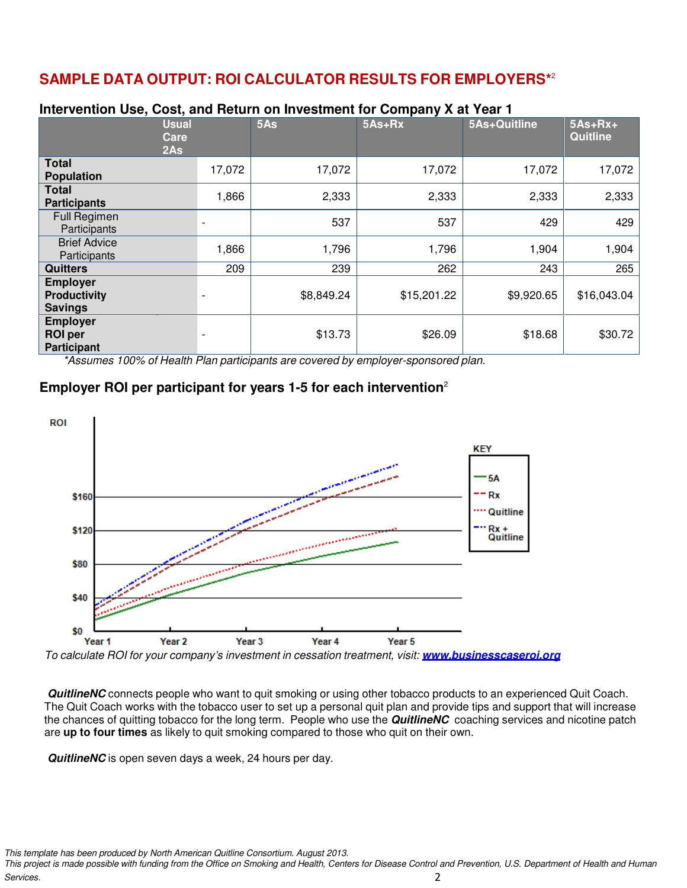## **SAMPLE DATA OUTPUT: ROI CALCULATOR RESULTS FOR EMPLOYERS\***<sup>2</sup>

| <b>INCE VEHICLE OSE, OUSE, AND HELDIN ON INVESTMENT TO COMPANY A ALTEAR T</b> |        |            |             |              |                       |  |  |
|-------------------------------------------------------------------------------|--------|------------|-------------|--------------|-----------------------|--|--|
| <b>Usual</b><br>Care<br>2As                                                   |        | 5As        | 5As+Rx      | 5As+Quitline | $5As+Rx+$<br>Quitline |  |  |
| <b>Total</b><br><b>Population</b>                                             | 17,072 | 17,072     | 17,072      | 17,072       | 17,072                |  |  |
| <b>Total</b><br><b>Participants</b>                                           | 1,866  | 2,333      | 2,333       | 2,333        | 2,333                 |  |  |
| <b>Full Regimen</b><br>Participants                                           |        | 537        | 537         | 429          | 429                   |  |  |
| <b>Brief Advice</b><br>Participants                                           | 1,866  | 1,796      | 1,796       | 1,904        | 1,904                 |  |  |
| <b>Quitters</b>                                                               | 209    | 239        | 262         | 243          | 265                   |  |  |
| <b>Employer</b><br><b>Productivity</b><br><b>Savings</b>                      |        | \$8,849.24 | \$15,201.22 | \$9,920.65   | \$16,043.04           |  |  |
| <b>Employer</b><br><b>ROI</b> per<br><b>Participant</b>                       |        | \$13.73    | \$26.09     | \$18.68      | \$30.72               |  |  |

#### **Intervention Use, Cost, and Return on Investment for Company X at Year 1**

\*Assumes 100% of Health Plan participants are covered by employer-sponsored plan.

#### **Employer ROI per participant for years 1-5 for each intervention**<sup>2</sup>



To calculate ROI for your company's investment in cessation treatment, visit: **www.businesscaseroi.org**

**QuitlineNC** connects people who want to quit smoking or using other tobacco products to an experienced Quit Coach. The Quit Coach works with the tobacco user to set up a personal quit plan and provide tips and support that will increase the chances of quitting tobacco for the long term. People who use the **QuitlineNC** coaching services and nicotine patch are **up to four times** as likely to quit smoking compared to those who quit on their own.

**QuitlineNC** is open seven days a week, 24 hours per day.

This template has been produced by North American Quitline Consortium. August 2013.

This project is made possible with funding from the Office on Smoking and Health, Centers for Disease Control and Prevention, U.S. Department of Health and Human **Services.** 2